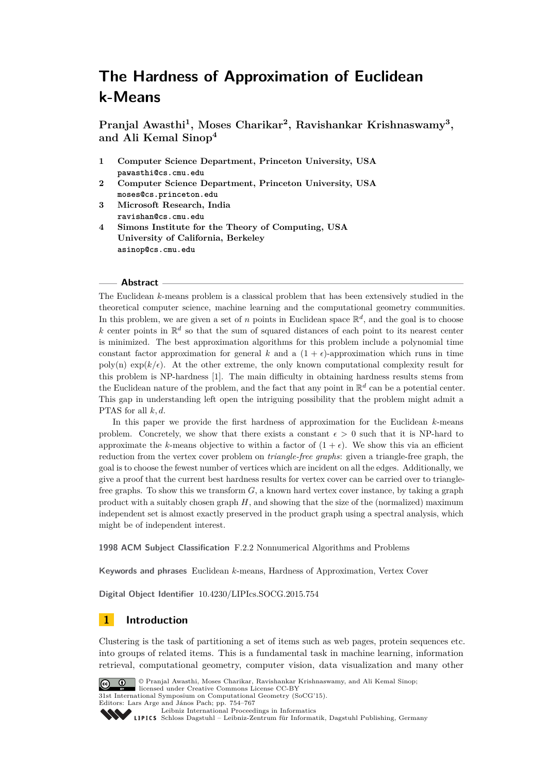**Pranjal Awasthi<sup>1</sup> , Moses Charikar<sup>2</sup> , Ravishankar Krishnaswamy<sup>3</sup> , and Ali Kemal Sinop<sup>4</sup>**

- **1 Computer Science Department, Princeton University, USA <pawasthi@cs.cmu.edu>**
- **2 Computer Science Department, Princeton University, USA <moses@cs.princeton.edu>**
- **3 Microsoft Research, India <ravishan@cs.cmu.edu>**
- **4 Simons Institute for the Theory of Computing, USA University of California, Berkeley <asinop@cs.cmu.edu>**

#### **Abstract**

The Euclidean *k*-means problem is a classical problem that has been extensively studied in the theoretical computer science, machine learning and the computational geometry communities. In this problem, we are given a set of *n* points in Euclidean space  $\mathbb{R}^d$ , and the goal is to choose k center points in  $\mathbb{R}^d$  so that the sum of squared distances of each point to its nearest center is minimized. The best approximation algorithms for this problem include a polynomial time constant factor approximation for general *k* and a  $(1 + \epsilon)$ -approximation which runs in time  $poly(n)$  exp( $k/\epsilon$ ). At the other extreme, the only known computational complexity result for this problem is NP-hardness [\[1\]](#page-10-0). The main difficulty in obtaining hardness results stems from the Euclidean nature of the problem, and the fact that any point in  $\mathbb{R}^d$  can be a potential center. This gap in understanding left open the intriguing possibility that the problem might admit a PTAS for all *k, d*.

In this paper we provide the first hardness of approximation for the Euclidean *k*-means problem. Concretely, we show that there exists a constant  $\epsilon > 0$  such that it is NP-hard to approximate the *k*-means objective to within a factor of  $(1 + \epsilon)$ . We show this via an efficient reduction from the vertex cover problem on *triangle-free graphs*: given a triangle-free graph, the goal is to choose the fewest number of vertices which are incident on all the edges. Additionally, we give a proof that the current best hardness results for vertex cover can be carried over to trianglefree graphs. To show this we transform *G*, a known hard vertex cover instance, by taking a graph product with a suitably chosen graph *H*, and showing that the size of the (normalized) maximum independent set is almost exactly preserved in the product graph using a spectral analysis, which might be of independent interest.

**1998 ACM Subject Classification** F.2.2 Nonnumerical Algorithms and Problems

**Keywords and phrases** Euclidean *k*-means, Hardness of Approximation, Vertex Cover

**Digital Object Identifier** [10.4230/LIPIcs.SOCG.2015.754](http://dx.doi.org/10.4230/LIPIcs.SOCG.2015.754)

# **1 Introduction**

Clustering is the task of partitioning a set of items such as web pages, protein sequences etc. into groups of related items. This is a fundamental task in machine learning, information retrieval, computational geometry, computer vision, data visualization and many other



© Pranjal Awasthi, Moses Charikar, Ravishankar Krishnaswamy, and Ali Kemal Sinop;  $\boxed{6}$  0 licensed under Creative Commons License CC-BY

31st International Symposium on Computational Geometry (SoCG'15).

Editors: Lars Arge and János Pach; pp. 754[–767](#page-13-0)

[Leibniz International Proceedings in Informatics](http://www.dagstuhl.de/lipics/) Leibniz International Froceedings in miormatics<br>
LIPICS [Schloss Dagstuhl – Leibniz-Zentrum für Informatik, Dagstuhl Publishing, Germany](http://www.dagstuhl.de)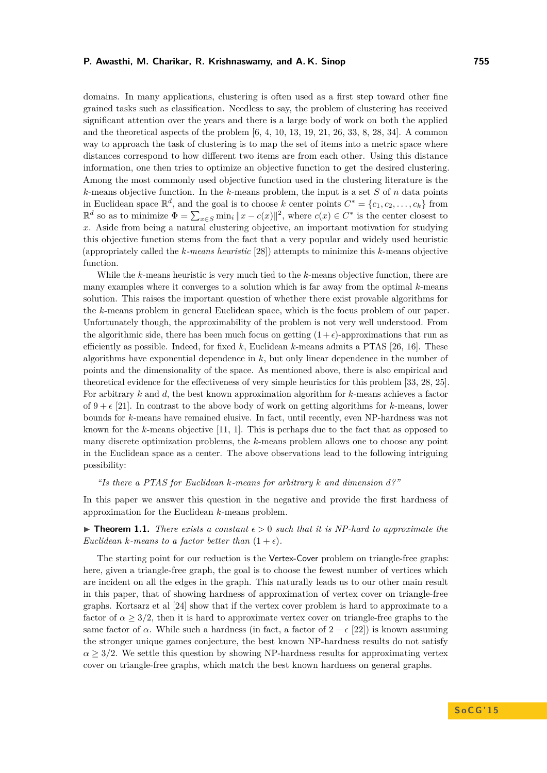domains. In many applications, clustering is often used as a first step toward other fine grained tasks such as classification. Needless to say, the problem of clustering has received significant attention over the years and there is a large body of work on both the applied and the theoretical aspects of the problem [\[6,](#page-11-0) [4,](#page-11-1) [10,](#page-11-2) [13,](#page-11-3) [19,](#page-11-4) [21,](#page-12-0) [26,](#page-12-1) [33,](#page-12-2) [8,](#page-11-5) [28,](#page-12-3) [34\]](#page-12-4). A common way to approach the task of clustering is to map the set of items into a metric space where distances correspond to how different two items are from each other. Using this distance information, one then tries to optimize an objective function to get the desired clustering. Among the most commonly used objective function used in the clustering literature is the *k*-means objective function. In the *k*-means problem, the input is a set *S* of *n* data points in Euclidean space  $\mathbb{R}^d$ , and the goal is to choose *k* center points  $C^* = \{c_1, c_2, \ldots, c_k\}$  from  $\mathbb{R}^d$  so as to minimize  $Φ = ∑_{x∈S}$  min<sub>i</sub> ||x − *c*(*x*)||<sup>2</sup>, where *c*(*x*) ∈ *C*<sup>\*</sup> is the center closest to *x*. Aside from being a natural clustering objective, an important motivation for studying this objective function stems from the fact that a very popular and widely used heuristic (appropriately called the *k-means heuristic* [\[28\]](#page-12-3)) attempts to minimize this *k*-means objective function.

While the *k*-means heuristic is very much tied to the *k*-means objective function, there are many examples where it converges to a solution which is far away from the optimal *k*-means solution. This raises the important question of whether there exist provable algorithms for the *k*-means problem in general Euclidean space, which is the focus problem of our paper. Unfortunately though, the approximability of the problem is not very well understood. From the algorithmic side, there has been much focus on getting  $(1 + \epsilon)$ -approximations that run as efficiently as possible. Indeed, for fixed *k*, Euclidean *k*-means admits a PTAS [\[26,](#page-12-1) [16\]](#page-11-6). These algorithms have exponential dependence in *k*, but only linear dependence in the number of points and the dimensionality of the space. As mentioned above, there is also empirical and theoretical evidence for the effectiveness of very simple heuristics for this problem [\[33,](#page-12-2) [28,](#page-12-3) [25\]](#page-12-5). For arbitrary *k* and *d*, the best known approximation algorithm for *k*-means achieves a factor of  $9 + \epsilon$  [\[21\]](#page-12-0). In contrast to the above body of work on getting algorithms for *k*-means, lower bounds for *k*-means have remained elusive. In fact, until recently, even NP-hardness was not known for the *k*-means objective [\[11,](#page-11-7) [1\]](#page-10-0). This is perhaps due to the fact that as opposed to many discrete optimization problems, the *k*-means problem allows one to choose any point in the Euclidean space as a center. The above observations lead to the following intriguing possibility:

## *"Is there a PTAS for Euclidean k-means for arbitrary k and dimension d?"*

In this paper we answer this question in the negative and provide the first hardness of approximation for the Euclidean *k*-means problem.

<span id="page-1-0"></span>**Findment 1.1.** There exists a constant  $\epsilon > 0$  such that it is NP-hard to approximate the *Euclidean k*-means to a factor better than  $(1 + \epsilon)$ .

The starting point for our reduction is the Vertex-Cover problem on triangle-free graphs: here, given a triangle-free graph, the goal is to choose the fewest number of vertices which are incident on all the edges in the graph. This naturally leads us to our other main result in this paper, that of showing hardness of approximation of vertex cover on triangle-free graphs. Kortsarz et al [\[24\]](#page-12-6) show that if the vertex cover problem is hard to approximate to a factor of  $\alpha \geq 3/2$ , then it is hard to approximate vertex cover on triangle-free graphs to the same factor of  $\alpha$ . While such a hardness (in fact, a factor of  $2 - \epsilon$  [\[22\]](#page-12-7)) is known assuming the stronger unique games conjecture, the best known NP-hardness results do not satisfy  $\alpha \geq 3/2$ . We settle this question by showing NP-hardness results for approximating vertex cover on triangle-free graphs, which match the best known hardness on general graphs.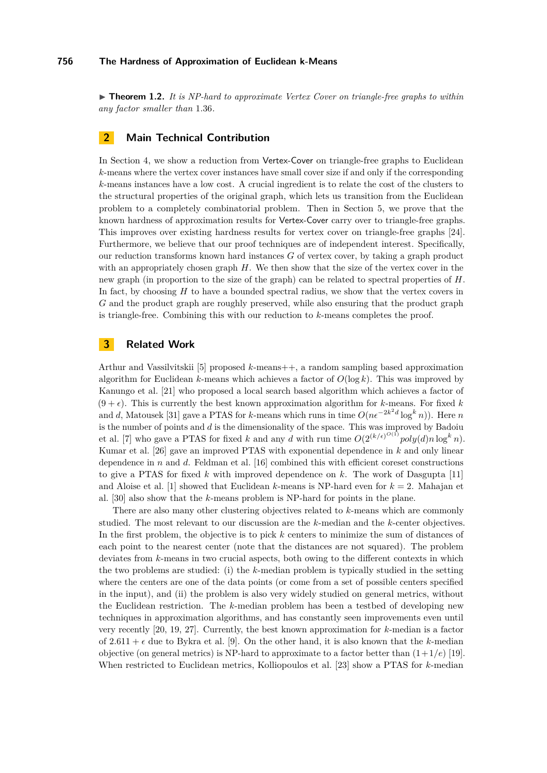$\triangleright$  **Theorem 1.2.** It is NP-hard to approximate Vertex Cover on triangle-free graphs to within *any factor smaller than* 1*.*36*.*

# **2 Main Technical Contribution**

In Section [4,](#page-3-0) we show a reduction from Vertex-Cover on triangle-free graphs to Euclidean *k*-means where the vertex cover instances have small cover size if and only if the corresponding *k*-means instances have a low cost. A crucial ingredient is to relate the cost of the clusters to the structural properties of the original graph, which lets us transition from the Euclidean problem to a completely combinatorial problem. Then in Section [5,](#page-7-0) we prove that the known hardness of approximation results for Vertex-Cover carry over to triangle-free graphs. This improves over existing hardness results for vertex cover on triangle-free graphs [\[24\]](#page-12-6). Furthermore, we believe that our proof techniques are of independent interest. Specifically, our reduction transforms known hard instances *G* of vertex cover, by taking a graph product with an appropriately chosen graph *H*. We then show that the size of the vertex cover in the new graph (in proportion to the size of the graph) can be related to spectral properties of *H*. In fact, by choosing *H* to have a bounded spectral radius, we show that the vertex covers in *G* and the product graph are roughly preserved, while also ensuring that the product graph is triangle-free. Combining this with our reduction to *k*-means completes the proof.

# **3 Related Work**

Arthur and Vassilvitskii [\[5\]](#page-11-8) proposed *k*-means++, a random sampling based approximation algorithm for Euclidean  $k$ -means which achieves a factor of  $O(\log k)$ . This was improved by Kanungo et al. [\[21\]](#page-12-0) who proposed a local search based algorithm which achieves a factor of  $(9 + \epsilon)$ . This is currently the best known approximation algorithm for *k*-means. For fixed *k* and *d*, Matousek [\[31\]](#page-12-8) gave a PTAS for *k*-means which runs in time  $O(n\epsilon^{-2k^2d} \log^k n)$ ). Here *n* is the number of points and *d* is the dimensionality of the space. This was improved by Badoiu et al. [\[7\]](#page-11-9) who gave a PTAS for fixed *k* and any *d* with run time  $O(2^{(k/\epsilon)^{O(1)}}poly(d)n \log^k n)$ . Kumar et al. [\[26\]](#page-12-1) gave an improved PTAS with exponential dependence in *k* and only linear dependence in *n* and *d*. Feldman et al. [\[16\]](#page-11-6) combined this with efficient coreset constructions to give a PTAS for fixed *k* with improved dependence on *k*. The work of Dasgupta [\[11\]](#page-11-7) and Aloise et al. [\[1\]](#page-10-0) showed that Euclidean *k*-means is NP-hard even for *k* = 2. Mahajan et al. [\[30\]](#page-12-9) also show that the *k*-means problem is NP-hard for points in the plane.

There are also many other clustering objectives related to *k*-means which are commonly studied. The most relevant to our discussion are the *k*-median and the *k*-center objectives. In the first problem, the objective is to pick *k* centers to minimize the sum of distances of each point to the nearest center (note that the distances are not squared). The problem deviates from *k*-means in two crucial aspects, both owing to the different contexts in which the two problems are studied: (i) the *k*-median problem is typically studied in the setting where the centers are one of the data points (or come from a set of possible centers specified in the input), and (ii) the problem is also very widely studied on general metrics, without the Euclidean restriction. The *k*-median problem has been a testbed of developing new techniques in approximation algorithms, and has constantly seen improvements even until very recently [\[20,](#page-12-10) [19,](#page-11-4) [27\]](#page-12-11). Currently, the best known approximation for *k*-median is a factor of  $2.611 + \epsilon$  due to Bykra et al. [\[9\]](#page-11-10). On the other hand, it is also known that the *k*-median objective (on general metrics) is NP-hard to approximate to a factor better than (1+ 1*/e*) [\[19\]](#page-11-4). When restricted to Euclidean metrics, Kolliopoulos et al. [\[23\]](#page-12-12) show a PTAS for *k*-median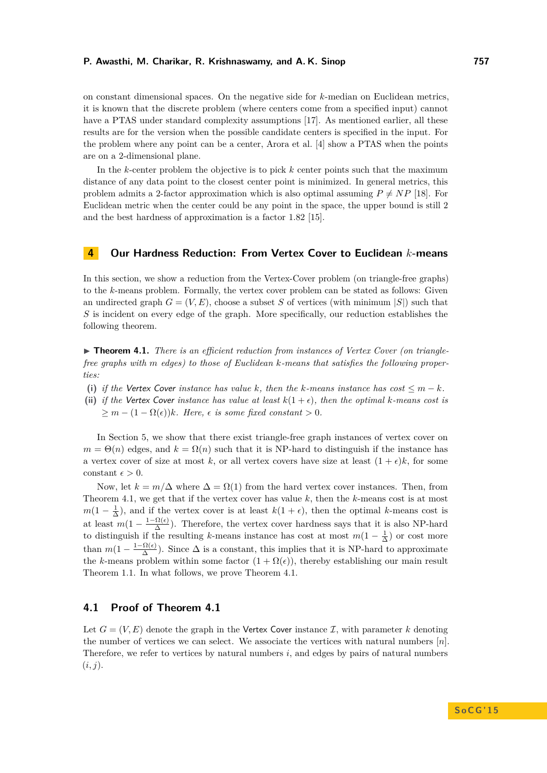on constant dimensional spaces. On the negative side for *k*-median on Euclidean metrics, it is known that the discrete problem (where centers come from a specified input) cannot have a PTAS under standard complexity assumptions [\[17\]](#page-11-11). As mentioned earlier, all these results are for the version when the possible candidate centers is specified in the input. For the problem where any point can be a center, Arora et al. [\[4\]](#page-11-1) show a PTAS when the points are on a 2-dimensional plane.

In the *k*-center problem the objective is to pick *k* center points such that the maximum distance of any data point to the closest center point is minimized. In general metrics, this problem admits a 2-factor approximation which is also optimal assuming  $P \neq NP$  [\[18\]](#page-11-12). For Euclidean metric when the center could be any point in the space, the upper bound is still 2 and the best hardness of approximation is a factor 1*.*82 [\[15\]](#page-11-13).

## <span id="page-3-0"></span>**4 Our Hardness Reduction: From Vertex Cover to Euclidean** *k***-means**

In this section, we show a reduction from the Vertex-Cover problem (on triangle-free graphs) to the *k*-means problem. Formally, the vertex cover problem can be stated as follows: Given an undirected graph  $G = (V, E)$ , choose a subset *S* of vertices (with minimum  $|S|$ ) such that *S* is incident on every edge of the graph. More specifically, our reduction establishes the following theorem.

<span id="page-3-1"></span>▶ **Theorem 4.1.** *There is an efficient reduction from instances of Vertex Cover (on trianglefree graphs with m edges) to those of Euclidean k-means that satisfies the following properties:*

- **(i)** if the Vertex Cover instance has value k, then the k-means instance has cost  $\leq m k$ .
- (ii) *if the* Vertex Cover *instance has value at least*  $k(1 + \epsilon)$ *, then the optimal k-means cost is*  $\geq m - (1 - \Omega(\epsilon))k$ *. Here,*  $\epsilon$  *is some fixed constant*  $> 0$ *.*

In Section [5,](#page-7-0) we show that there exist triangle-free graph instances of vertex cover on  $m = \Theta(n)$  edges, and  $k = \Omega(n)$  such that it is NP-hard to distinguish if the instance has a vertex cover of size at most k, or all vertex covers have size at least  $(1 + \epsilon)k$ , for some constant  $\epsilon > 0$ .

Now, let  $k = m/\Delta$  where  $\Delta = \Omega(1)$  from the hard vertex cover instances. Then, from Theorem [4.1,](#page-3-1) we get that if the vertex cover has value *k*, then the *k*-means cost is at most  $m(1-\frac{1}{\Delta})$ , and if the vertex cover is at least  $k(1+\epsilon)$ , then the optimal *k*-means cost is at least  $m(1 - \frac{1-\Omega(\epsilon)}{\Delta})$  $\frac{\Omega(\epsilon)}{\Delta}$ ). Therefore, the vertex cover hardness says that it is also NP-hard to distinguish if the resulting *k*-means instance has cost at most  $m(1 - \frac{1}{\Delta})$  or cost more than  $m(1-\frac{1-\Omega(\epsilon)}{\Delta})$  $\frac{\Omega(\epsilon)}{\Delta}$ ). Since  $\Delta$  is a constant, this implies that it is NP-hard to approximate the *k*-means problem within some factor  $(1 + \Omega(\epsilon))$ , thereby establishing our main result Theorem [1.1.](#page-1-0) In what follows, we prove Theorem [4.1.](#page-3-1)

## **4.1 Proof of Theorem [4.1](#page-3-1)**

Let  $G = (V, E)$  denote the graph in the Vertex Cover instance  $\mathcal{I}$ , with parameter k denoting the number of vertices we can select. We associate the vertices with natural numbers [*n*]. Therefore, we refer to vertices by natural numbers *i*, and edges by pairs of natural numbers  $(i, j)$ .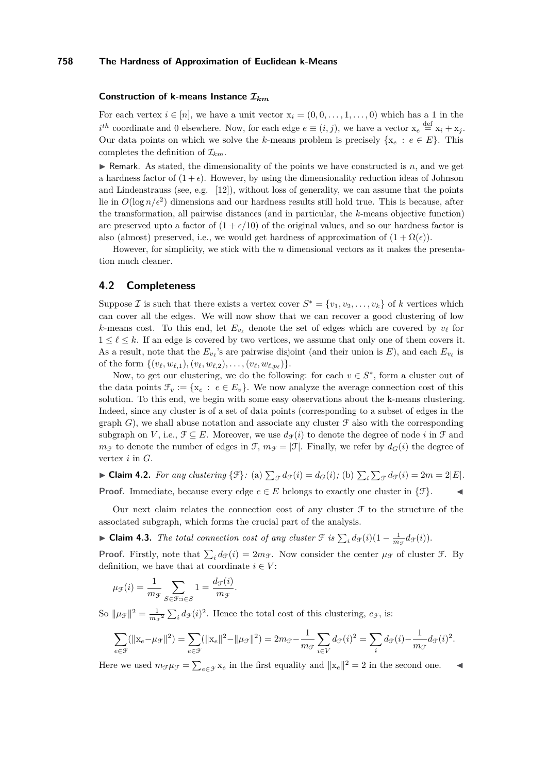## **Construction of k-means Instance I***km*

For each vertex  $i \in [n]$ , we have a unit vector  $x_i = (0, 0, \ldots, 1, \ldots, 0)$  which has a 1 in the  $i^{th}$  coordinate and 0 elsewhere. Now, for each edge  $e \equiv (i, j)$ , we have a vector  $x_e \stackrel{\text{def}}{=} x_i + x_j$ . Our data points on which we solve the *k*-means problem is precisely  $\{x_e : e \in E\}$ . This completes the definition of  $\mathcal{I}_{km}$ .

 $\triangleright$  Remark. As stated, the dimensionality of the points we have constructed is *n*, and we get a hardness factor of  $(1 + \epsilon)$ . However, by using the dimensionality reduction ideas of Johnson and Lindenstrauss (see, e.g.  $[12]$ ), without loss of generality, we can assume that the points lie in  $O(\log n/\epsilon^2)$  dimensions and our hardness results still hold true. This is because, after the transformation, all pairwise distances (and in particular, the *k*-means objective function) are preserved upto a factor of  $(1 + \epsilon/10)$  of the original values, and so our hardness factor is also (almost) preserved, i.e., we would get hardness of approximation of  $(1 + \Omega(\epsilon))$ .

However, for simplicity, we stick with the *n* dimensional vectors as it makes the presentation much cleaner.

## **4.2 Completeness**

Suppose *I* is such that there exists a vertex cover  $S^* = \{v_1, v_2, \ldots, v_k\}$  of *k* vertices which can cover all the edges. We will now show that we can recover a good clustering of low *k*-means cost. To this end, let  $E_{v_\ell}$  denote the set of edges which are covered by  $v_\ell$  for  $1 \leq \ell \leq k$ . If an edge is covered by two vertices, we assume that only one of them covers it. As a result, note that the  $E_{v_\ell}$ 's are pairwise disjoint (and their union is E), and each  $E_{v_\ell}$  is of the form  $\{(v_\ell, w_{\ell,1}), (v_\ell, w_{\ell,2}), \ldots, (v_\ell, w_{\ell,p_\ell})\}.$ 

Now, to get our clustering, we do the following: for each  $v \in S^*$ , form a cluster out of the data points  $\mathcal{F}_v := \{x_e : e \in E_v\}$ . We now analyze the average connection cost of this solution. To this end, we begin with some easy observations about the k-means clustering. Indeed, since any cluster is of a set of data points (corresponding to a subset of edges in the graph  $G$ ), we shall abuse notation and associate any cluster  $\mathcal F$  also with the corresponding subgraph on *V*, i.e.,  $\mathcal{F} \subseteq E$ . Moreover, we use  $d_{\mathcal{F}}(i)$  to denote the degree of node *i* in  $\mathcal{F}$  and  $m_f$  to denote the number of edges in F,  $m_f = |\mathcal{F}|$ . Finally, we refer by  $d_G(i)$  the degree of vertex *i* in *G*.

► **Claim 4.2.** *For any clustering* { $\mathcal{F}$ }: (a)  $\sum_{\mathcal{F}} d_{\mathcal{F}}(i) = d_G(i)$ ; (b)  $\sum_i \sum_{\mathcal{F}} d_{\mathcal{F}}(i) = 2m = 2|E|$ . **Proof.** Immediate, because every edge  $e \in E$  belongs to exactly one cluster in  $\{\mathcal{F}\}.$ 

Our next claim relates the connection cost of any cluster  $\mathcal F$  to the structure of the associated subgraph, which forms the crucial part of the analysis.

<span id="page-4-0"></span>► Claim 4.3. *The total connection cost of any cluster*  $\mathcal{F}$  *is*  $\sum_{i} d_{\mathcal{F}}(i)(1 - \frac{1}{m_{\mathcal{F}}} d_{\mathcal{F}}(i)).$ 

**Proof.** Firstly, note that  $\sum_i d_{\mathcal{F}}(i) = 2m_{\mathcal{F}}$ . Now consider the center  $\mu_{\mathcal{F}}$  of cluster  $\mathcal{F}$ . By definition, we have that at coordinate  $i \in V$ :

$$
\mu_{\mathcal{F}}(i) = \frac{1}{m_{\mathcal{F}}} \sum_{S \in \mathcal{F}: i \in S} 1 = \frac{d_{\mathcal{F}}(i)}{m_{\mathcal{F}}}.
$$

So  $\|\mu_{\mathcal{F}}\|^2 = \frac{1}{m_{\mathcal{F}}^2} \sum_i d_{\mathcal{F}}(i)^2$ . Hence the total cost of this clustering,  $c_{\mathcal{F}}$ , is:

$$
\sum_{e \in \mathcal{F}} (\|\mathbf{x}_e - \mu_{\mathcal{F}}\|^2) = \sum_{e \in \mathcal{F}} (\|\mathbf{x}_e\|^2 - \|\mu_{\mathcal{F}}\|^2) = 2m_{\mathcal{F}} - \frac{1}{m_{\mathcal{F}}} \sum_{i \in V} d_{\mathcal{F}}(i)^2 = \sum_i d_{\mathcal{F}}(i) - \frac{1}{m_{\mathcal{F}}} d_{\mathcal{F}}(i)^2.
$$

Here we used  $m_{\mathcal{F}}\mu_{\mathcal{F}} = \sum_{e \in \mathcal{F}} x_e$  in the first equality and  $||x_e||^2 = 2$  in the second one.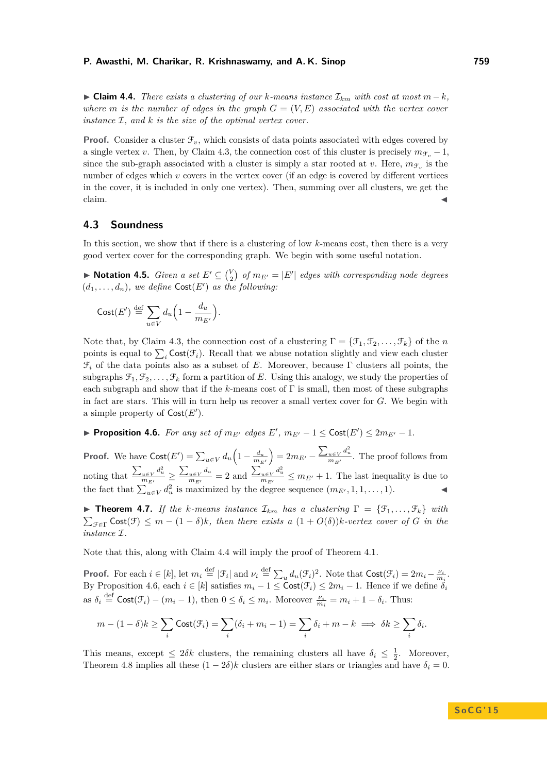<span id="page-5-0"></span>► Claim 4.4. *There exists a clustering of our k-means instance*  $\mathcal{I}_{km}$  *with cost at most*  $m - k$ *, where m is the number of edges in the graph*  $G = (V, E)$  *associated with the vertex cover instance* I*, and k is the size of the optimal vertex cover.*

**Proof.** Consider a cluster  $\mathcal{F}_v$ , which consists of data points associated with edges covered by a single vertex *v*. Then, by Claim [4.3,](#page-4-0) the connection cost of this cluster is precisely  $m_{\mathcal{F}_v} - 1$ , since the sub-graph associated with a cluster is simply a star rooted at *v*. Here,  $m_{\mathcal{F}_v}$  is the number of edges which *v* covers in the vertex cover (if an edge is covered by different vertices in the cover, it is included in only one vertex). Then, summing over all clusters, we get the  $\blacksquare$ claim.

## **4.3 Soundness**

In this section, we show that if there is a clustering of low *k*-means cost, then there is a very good vertex cover for the corresponding graph. We begin with some useful notation.

▶ **Notation 4.5.** *Given a set*  $E' \subseteq {V \choose 2}$  *of*  $m_{E'} = |E'|$  *edges with corresponding node degrees*  $(d_1, \ldots, d_n)$ , we define  $\textsf{Cost}(E')$  as the following:

$$
\mathrm{Cost}(E') \stackrel{\mathrm{def}}{=} \sum_{u \in V} d_u \Big( 1 - \frac{d_u}{m_{E'}} \Big).
$$

Note that, by Claim [4.3,](#page-4-0) the connection cost of a clustering  $\Gamma = {\mathcal{F}_1, \mathcal{F}_2, \ldots, \mathcal{F}_k}$  of the *n* points is equal to  $\sum_i \text{Cost}(\mathcal{F}_i)$ . Recall that we abuse notation slightly and view each cluster F*<sup>i</sup>* of the data points also as a subset of *E*. Moreover, because Γ clusters all points, the subgraphs  $\mathcal{F}_1, \mathcal{F}_2, \ldots, \mathcal{F}_k$  form a partition of E. Using this analogy, we study the properties of each subgraph and show that if the *k*-means cost of Γ is small, then most of these subgraphs in fact are stars. This will in turn help us recover a small vertex cover for *G*. We begin with a simple property of  $\textsf{Cost}(E').$ 

<span id="page-5-1"></span>▶ **Proposition 4.6.** *For any set of*  $m_{E'}$  *edges*  $E'$ ,  $m_{E'} - 1 \leq \text{Cost}(E') \leq 2m_{E'} - 1$ *.* 

**Proof.** We have  $\text{Cost}(E') = \sum_{u \in V} d_u \left(1 - \frac{d_u}{m_{E'}}\right)$  $= 2m_{E'} - \frac{\sum_{u \in V} d_u^2}{m_{E'}}$ . The proof follows from noting that  $\frac{\sum_{u \in V} d_u^2}{m_{E'}} \ge \frac{\sum_{u \in V} d_u}{m_{E'}} = 2$  and  $\frac{\sum_{u \in V} d_u^2}{m_{E'}} \le m_{E'} + 1$ . The last inequality is due to the fact that  $\sum_{u \in V}^{\infty} d_u^2$  is maximized by the degree sequence  $(m_{E'}, 1, 1, \ldots, 1)$ .

**Figure 1.7.** If the *k*-means instance  $\mathcal{I}_{km}$  has a clustering  $\Gamma = {\mathcal{F}_1, \ldots, \mathcal{F}_k}$  with  $\sum_{\mathcal{F} \in \Gamma} \text{Cost}(\mathcal{F}) \leq m - (1 - \delta)k$ , then there exists a  $(1 + O(\delta))k$ -vertex cover of G in the *instance* I*.*

Note that this, along with Claim [4.4](#page-5-0) will imply the proof of Theorem [4.1.](#page-3-1)

**Proof.** For each  $i \in [k]$ , let  $m_i \stackrel{\text{def}}{=} |\mathcal{F}_i|$  and  $\nu_i \stackrel{\text{def}}{=} \sum_u d_u(\mathcal{F}_i)^2$ . Note that  $\text{Cost}(\mathcal{F}_i) = 2m_i - \frac{\nu_i}{m_i}$ . By Proposition [4.6,](#page-5-1) each  $i \in [k]$  satisfies  $m_i - 1 \leq \text{Cost}(\mathcal{F}_i) \leq 2m_i - 1$ . Hence if we define  $\delta_i$ as  $\delta_i \stackrel{\text{def}}{=} \text{Cost}(\mathcal{F}_i) - (m_i - 1)$ , then  $0 \le \delta_i \le m_i$ . Moreover  $\frac{\nu_i}{m_i} = m_i + 1 - \delta_i$ . Thus:

$$
m - (1 - \delta)k \ge \sum_{i} \text{Cost}(\mathcal{F}_i) = \sum_{i} (\delta_i + m_i - 1) = \sum_{i} \delta_i + m - k \implies \delta k \ge \sum_{i} \delta_i.
$$

This means, except  $\leq 2\delta k$  clusters, the remaining clusters all have  $\delta_i \leq \frac{1}{2}$ . Moreover, Theorem [4.8](#page-6-0) implies all these  $(1 - 2\delta)k$  clusters are either stars or triangles and have  $\delta_i = 0$ .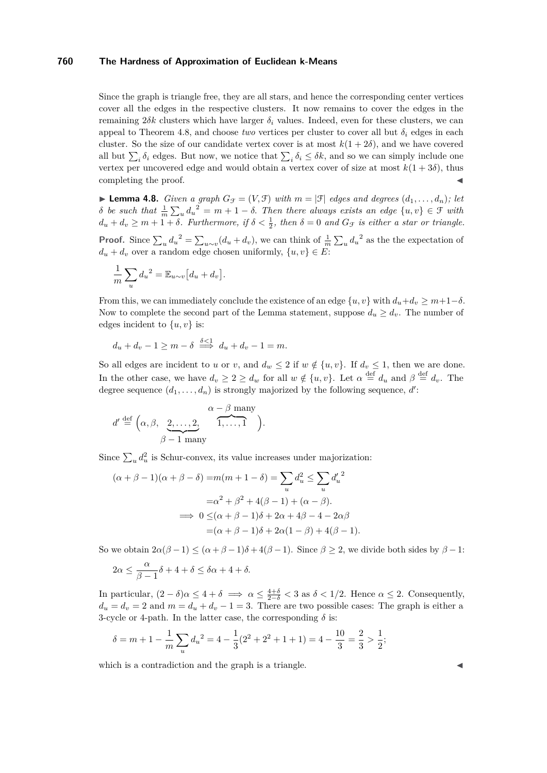Since the graph is triangle free, they are all stars, and hence the corresponding center vertices cover all the edges in the respective clusters. It now remains to cover the edges in the remaining 2*δk* clusters which have larger *δ<sup>i</sup>* values. Indeed, even for these clusters, we can appeal to Theorem [4.8,](#page-6-0) and choose *two* vertices per cluster to cover all but  $\delta_i$  edges in each cluster. So the size of our candidate vertex cover is at most  $k(1 + 2\delta)$ , and we have covered all but  $\sum_i \delta_i$  edges. But now, we notice that  $\sum_i \delta_i \leq \delta k$ , and so we can simply include one vertex per uncovered edge and would obtain a vertex cover of size at most  $k(1+3\delta)$ , thus completing the proof.

<span id="page-6-0"></span> $\blacktriangleright$  **Lemma 4.8.** *Given a graph*  $G_{\mathcal{F}} = (V, \mathcal{F})$  *with*  $m = |\mathcal{F}|$  *edges and degrees*  $(d_1, \ldots, d_n)$ *; let δ be such that*  $\frac{1}{m} \sum_{u} d_u^2 = m + 1 - \delta$ . Then there always exists an edge  $\{u, v\} \in \mathcal{F}$  with  $d_u + d_v \geq m + 1 + \delta$ *. Furthermore, if*  $\delta < \frac{1}{2}$ *, then*  $\delta = 0$  *and*  $G_{\mathcal{F}}$  *is either a star or triangle.* 

**Proof.** Since  $\sum_u d_u^2 = \sum_{u \sim v} (d_u + d_v)$ , we can think of  $\frac{1}{m} \sum_u d_u^2$  as the the expectation of  $d_u + d_v$  over a random edge chosen uniformly,  $\{u, v\} \in E$ :

$$
\frac{1}{m}\sum_{u} d_u^{2} = \mathbb{E}_{u \sim v} [d_u + d_v].
$$

From this, we can immediately conclude the existence of an edge  $\{u, v\}$  with  $d_u + d_v \geq m + 1 - \delta$ . Now to complete the second part of the Lemma statement, suppose  $d_u \geq d_v$ . The number of edges incident to  $\{u, v\}$  is:

$$
d_u + d_v - 1 \ge m - \delta \stackrel{\delta < 1}{\implies} d_u + d_v - 1 = m.
$$

So all edges are incident to *u* or *v*, and  $d_w \leq 2$  if  $w \notin \{u, v\}$ . If  $d_v \leq 1$ , then we are done. In the other case, we have  $d_v \geq 2 \geq d_w$  for all  $w \notin \{u, v\}$ . Let  $\alpha \stackrel{\text{def}}{=} d_u$  and  $\beta \stackrel{\text{def}}{=} d_v$ . The degree sequence  $(d_1, \ldots, d_n)$  is strongly majorized by the following sequence,  $d'$ :

$$
d' \stackrel{\text{def}}{=} \left(\alpha, \beta, \underbrace{2, \dots, 2}_{\beta-1 \text{ many}}, \underbrace{\alpha - \beta \text{ many}}_{1, \dots, 1}\right).
$$

Since  $\sum_{u} d_u^2$  is Schur-convex, its value increases under majorization:

$$
(\alpha + \beta - 1)(\alpha + \beta - \delta) = m(m + 1 - \delta) = \sum_{u} d_u^2 \le \sum_{u} d_u^2
$$

$$
= \alpha^2 + \beta^2 + 4(\beta - 1) + (\alpha - \beta).
$$

$$
\implies 0 \le (\alpha + \beta - 1)\delta + 2\alpha + 4\beta - 4 - 2\alpha\beta
$$

$$
= (\alpha + \beta - 1)\delta + 2\alpha(1 - \beta) + 4(\beta - 1).
$$

So we obtain  $2\alpha(\beta-1) \leq (\alpha+\beta-1)\delta + 4(\beta-1)$ . Since  $\beta \geq 2$ , we divide both sides by  $\beta-1$ :

$$
2\alpha \le \frac{\alpha}{\beta - 1}\delta + 4 + \delta \le \delta\alpha + 4 + \delta.
$$

In particular,  $(2 - \delta)\alpha \leq 4 + \delta \implies \alpha \leq \frac{4+\delta}{2-\delta} < 3$  as  $\delta < 1/2$ . Hence  $\alpha \leq 2$ . Consequently,  $d_u = d_v = 2$  and  $m = d_u + d_v - 1 = 3$ . There are two possible cases: The graph is either a 3-cycle or 4-path. In the latter case, the corresponding  $\delta$  is:

$$
\delta = m + 1 - \frac{1}{m} \sum_{u} d_u^{2} = 4 - \frac{1}{3} (2^2 + 2^2 + 1 + 1) = 4 - \frac{10}{3} = \frac{2}{3} > \frac{1}{2};
$$

which is a contradiction and the graph is a triangle.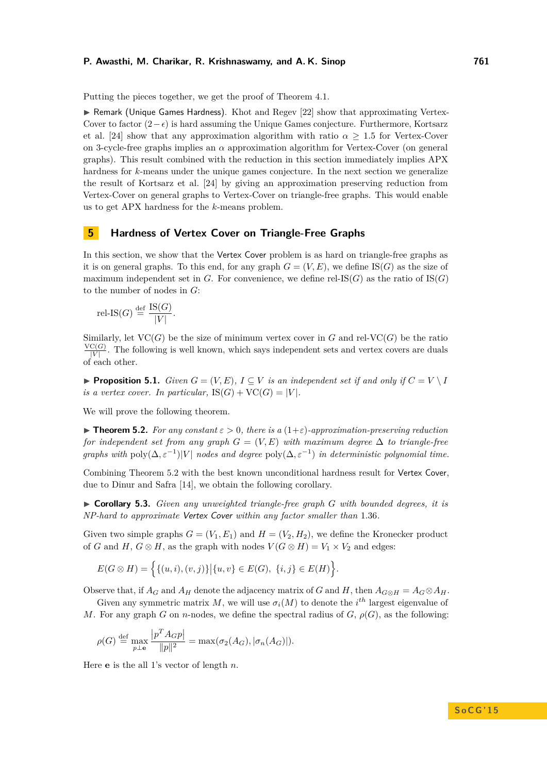Putting the pieces together, we get the proof of Theorem [4.1.](#page-3-1)

 $\triangleright$  Remark (Unique Games Hardness). Khot and Regev [\[22\]](#page-12-7) show that approximating Vertex-Cover to factor  $(2-\epsilon)$  is hard assuming the Unique Games conjecture. Furthermore, Kortsarz et al. [\[24\]](#page-12-6) show that any approximation algorithm with ratio  $\alpha \geq 1.5$  for Vertex-Cover on 3-cycle-free graphs implies an *α* approximation algorithm for Vertex-Cover (on general graphs). This result combined with the reduction in this section immediately implies APX hardness for *k*-means under the unique games conjecture. In the next section we generalize the result of Kortsarz et al. [\[24\]](#page-12-6) by giving an approximation preserving reduction from Vertex-Cover on general graphs to Vertex-Cover on triangle-free graphs. This would enable us to get APX hardness for the *k*-means problem.

## <span id="page-7-0"></span>**5 Hardness of Vertex Cover on Triangle-Free Graphs**

In this section, we show that the Vertex Cover problem is as hard on triangle-free graphs as it is on general graphs. To this end, for any graph  $G = (V, E)$ , we define IS(*G*) as the size of maximum independent set in *G*. For convenience, we define rel-IS(*G*) as the ratio of IS(*G*) to the number of nodes in *G*:

$$
rel\text{-IS}(G) \stackrel{\text{def}}{=} \frac{\text{IS}(G)}{|V|}.
$$

Similarly, let  $VC(G)$  be the size of minimum vertex cover in *G* and rel-VC(*G*) be the ratio  $VC(G)$  $\frac{O(G)}{|V|}$ . The following is well known, which says independent sets and vertex covers are duals of each other.

<span id="page-7-3"></span>**Proposition 5.1.** *Given*  $G = (V, E)$ ,  $I \subseteq V$  *is an independent set if and only if*  $C = V \setminus I$ *is a vertex cover. In particular,*  $IS(G) + VC(G) = |V|$ *.* 

We will prove the following theorem.

<span id="page-7-1"></span>**Find 5.2.** For any constant  $\varepsilon > 0$ , there is a  $(1+\varepsilon)$ -approximation-preserving reduction *for independent set from any graph*  $G = (V, E)$  *with maximum degree*  $\Delta$  *to triangle-free graphs with*  $poly(\Delta, \varepsilon^{-1})|V|$  *nodes and degree*  $poly(\Delta, \varepsilon^{-1})$  *in deterministic polynomial time.* 

Combining Theorem [5.2](#page-7-1) with the best known unconditional hardness result for Vertex Cover, due to Dinur and Safra [\[14\]](#page-11-15), we obtain the following corollary.

<span id="page-7-2"></span>▶ **Corollary 5.3.** *Given any unweighted triangle-free graph G with bounded degrees, it is NP-hard to approximate* Vertex Cover *within any factor smaller than* 1*.*36*.*

Given two simple graphs  $G = (V_1, E_1)$  and  $H = (V_2, H_2)$ , we define the Kronecker product of *G* and *H*,  $G \otimes H$ , as the graph with nodes  $V(G \otimes H) = V_1 \times V_2$  and edges:

$$
E(G \otimes H) = \Big\{ \{ (u, i), (v, j) \} \big| \{ u, v \} \in E(G), \ \{ i, j \} \in E(H) \Big\}.
$$

Observe that, if  $A_G$  and  $A_H$  denote the adjacency matrix of *G* and *H*, then  $A_{G \otimes H} = A_G \otimes A_H$ .

Given any symmetric matrix *M*, we will use  $\sigma_i(M)$  to denote the *i*<sup>th</sup> largest eigenvalue of *M*. For any graph *G* on *n*-nodes, we define the spectral radius of *G*,  $\rho(G)$ , as the following:

$$
\rho(G) \stackrel{\text{def}}{=} \max_{p \perp \mathbf{e}} \frac{\left| p^T A_G p \right|}{\|p\|^2} = \max(\sigma_2(A_G), |\sigma_n(A_G)|).
$$

Here **e** is the all 1's vector of length *n*.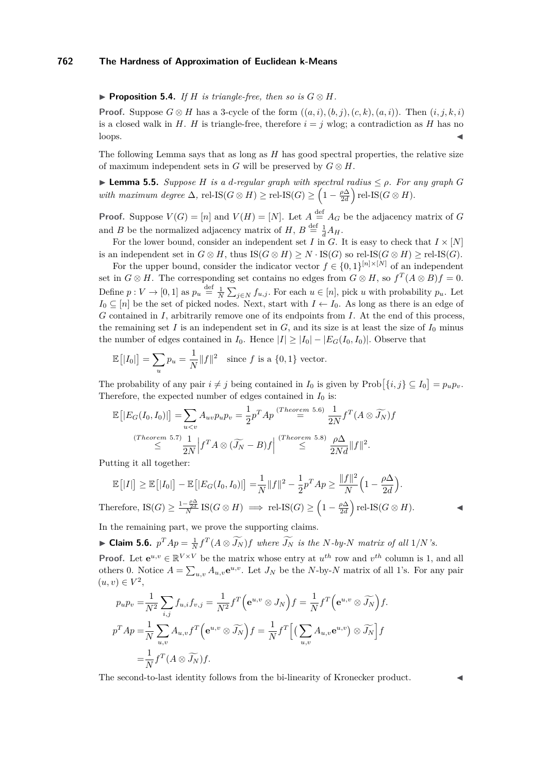#### <span id="page-8-1"></span>▶ **Proposition 5.4.** *If H is triangle-free, then so is*  $G \otimes H$ *.*

**Proof.** Suppose  $G \otimes H$  has a 3-cycle of the form  $((a, i), (b, j), (c, k), (a, i))$ . Then  $(i, j, k, i)$ is a closed walk in *H*. *H* is triangle-free, therefore  $i = j$  wlog; a contradiction as *H* has no  $\log s$ .

The following Lemma says that as long as *H* has good spectral properties, the relative size of maximum independent sets in *G* will be preserved by  $G \otimes H$ .

<span id="page-8-2"></span> $▶$  **Lemma 5.5.** *Suppose H is a d-regular graph with spectral radius*  $≤ ρ$ *. For any graph G with maximum degree*  $\Delta$ , rel-IS( $G \otimes H$ )  $\geq$  rel-IS( $G$ )  $\geq \left(1 - \frac{\rho \Delta}{2d}\right)$  rel-IS( $G \otimes H$ ).

**Proof.** Suppose  $V(G) = [n]$  and  $V(H) = [N]$ . Let  $A \stackrel{\text{def}}{=} A_G$  be the adjacency matrix of *G* and *B* be the normalized adjacency matrix of  $H$ ,  $B \stackrel{\text{def}}{=} \frac{1}{d} A_H$ .

For the lower bound, consider an independent set *I* in *G*. It is easy to check that  $I \times [N]$ is an independent set in  $G \otimes H$ , thus  $IS(G \otimes H) \geq N \cdot IS(G)$  so rel-IS( $G \otimes H$ ) ≥ rel-IS( $G$ ).

For the upper bound, consider the indicator vector  $f \in \{0,1\}^{[n]\times[N]}$  of an independent set in  $G \otimes H$ . The corresponding set contains no edges from  $G \otimes H$ , so  $f^T(A \otimes B)f = 0$ . Define  $p: V \to [0, 1]$  as  $p_u \stackrel{\text{def}}{=} \frac{1}{N} \sum_{j \in N} f_{u,j}$ . For each  $u \in [n]$ , pick *u* with probability  $p_u$ . Let  $I_0 \subseteq [n]$  be the set of picked nodes. Next, start with  $I \leftarrow I_0$ . As long as there is an edge of *G* contained in *I*, arbitrarily remove one of its endpoints from *I*. At the end of this process, the remaining set *I* is an independent set in  $G$ , and its size is at least the size of  $I_0$  minus the number of edges contained in  $I_0$ . Hence  $|I| \geq |I_0| - |E_G(I_0, I_0)|$ . Observe that

$$
\mathbb{E}\left[|I_0|\right] = \sum_u p_u = \frac{1}{N} \|f\|^2 \quad \text{since } f \text{ is a } \{0, 1\} \text{ vector.}
$$

The probability of any pair  $i \neq j$  being contained in  $I_0$  is given by  $\text{Prob}\left[\{i,j\} \subseteq I_0\right] = p_u p_v$ . Therefore, the expected number of edges contained in  $I_0$  is:

$$
\mathbb{E}\left[|E_G(I_0, I_0)|\right] = \sum_{u\n
$$
\stackrel{(Theorem 5.7)}{\leq} \frac{1}{2N} \Big| f^T A \otimes (\widetilde{J_N} - B) f \Big| \stackrel{(Theorem 5.8)}{\leq} \frac{\rho \Delta}{2Nd} \|f\|^2.
$$
$$

Putting it all together:

$$
\mathbb{E}\left[|I|\right] \geq \mathbb{E}\left[|I_0|\right] - \mathbb{E}\left[|E_G(I_0, I_0)|\right] = \frac{1}{N} \|f\|^2 - \frac{1}{2} p^T A p \geq \frac{\|f\|^2}{N} \left(1 - \frac{\rho \Delta}{2d}\right).
$$
  
Therefore, 
$$
IS(G) \geq \frac{1 - \frac{\rho \Delta}{2d}}{N} IS(G \otimes H) \implies \text{rel-IS}(G) \geq \left(1 - \frac{\rho \Delta}{2d}\right) \text{rel-IS}(G \otimes H).
$$

In the remaining part, we prove the supporting claims.

<span id="page-8-0"></span>► Claim 5.6.  $p^T A p = \frac{1}{N} f^T (A \otimes \widetilde{J_N}) f$  where  $\widetilde{J_N}$  is the N-by-N matrix of all 1/N's.

**Proof.** Let  $e^{u,v} \in \mathbb{R}^{V \times V}$  be the matrix whose entry at  $u^{th}$  row and  $v^{th}$  column is 1, and all others 0. Notice  $A = \sum_{u,v} A_{u,v} e^{u,v}$ . Let  $J_N$  be the *N*-by-*N* matrix of all 1's. For any pair  $(u, v) \in V^2$ ,

$$
p_{u}p_{v} = \frac{1}{N^{2}} \sum_{i,j} f_{u,i}f_{v,j} = \frac{1}{N^{2}} f^{T} \Big(e^{u,v} \otimes J_{N}\Big) f = \frac{1}{N} f^{T} \Big(e^{u,v} \otimes \widetilde{J_{N}}\Big) f.
$$
  

$$
p^{T} A p = \frac{1}{N} \sum_{u,v} A_{u,v} f^{T} \Big(e^{u,v} \otimes \widetilde{J_{N}}\Big) f = \frac{1}{N} f^{T} \Big[ \Big(\sum_{u,v} A_{u,v} e^{u,v} \Big) \otimes \widetilde{J_{N}} \Big] f
$$
  

$$
= \frac{1}{N} f^{T} (A \otimes \widetilde{J_{N}}) f.
$$

The second-to-last identity follows from the bi-linearity of Kronecker product.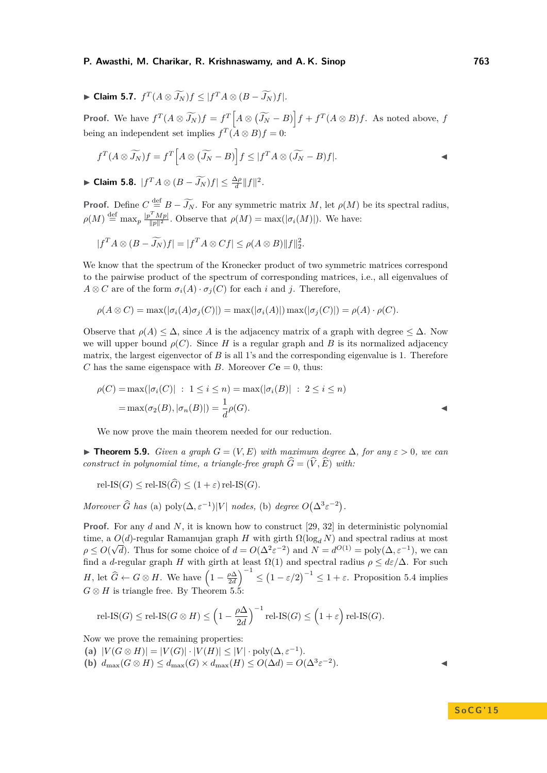<span id="page-9-0"></span>► **Claim 5.7.**  $f^T(A \otimes \widetilde{J_N})f \leq |f^T A \otimes (B - \widetilde{J_N})f|.$ 

**Proof.** We have  $f^T(A \otimes \widetilde{J_N})f = f^T\Big[A \otimes (\widetilde{J_N} - B)\Big]f + f^T(A \otimes B)f$ . As noted above, f being an independent set implies  $f^T(A \otimes B)f = 0$ :

$$
f^T(A \otimes \widetilde{J_N})f = f^T\Big[A \otimes (\widetilde{J_N} - B)\Big]f \leq |f^T A \otimes (\widetilde{J_N} - B)f|.
$$

<span id="page-9-1"></span>► Claim 5.8.  $|f^T A \otimes (B - \widetilde{J_N})f| \leq \frac{\Delta \rho}{d} ||f||^2$ .

**Proof.** Define  $C = \frac{def}{\partial N}B - \widetilde{J_N}$ . For any symmetric matrix *M*, let  $\rho(M)$  be its spectral radius,  $\rho(M) \stackrel{\text{def}}{=} \max_p \frac{|p^T M p|}{\|p\|^2}$ . Observe that  $\rho(M) = \max(|\sigma_i(M)|)$ . We have:

$$
|f^T A \otimes (B - \widetilde{J_N})f| = |f^T A \otimes Cf| \le \rho(A \otimes B) ||f||_2^2.
$$

We know that the spectrum of the Kronecker product of two symmetric matrices correspond to the pairwise product of the spectrum of corresponding matrices, i.e., all eigenvalues of  $A \otimes C$  are of the form  $\sigma_i(A) \cdot \sigma_j(C)$  for each *i* and *j*. Therefore,

$$
\rho(A \otimes C) = \max(|\sigma_i(A)\sigma_j(C)|) = \max(|\sigma_i(A)|) \max(|\sigma_j(C)|) = \rho(A) \cdot \rho(C).
$$

Observe that  $\rho(A) \leq \Delta$ , since A is the adjacency matrix of a graph with degree  $\leq \Delta$ . Now we will upper bound  $\rho(C)$ . Since *H* is a regular graph and *B* is its normalized adjacency matrix, the largest eigenvector of *B* is all 1's and the corresponding eigenvalue is 1. Therefore *C* has the same eigenspace with *B*. Moreover  $C\mathbf{e} = 0$ , thus:

$$
\rho(C) = \max(|\sigma_i(C)| : 1 \le i \le n) = \max(|\sigma_i(B)| : 2 \le i \le n)
$$
  
= 
$$
\max(\sigma_2(B), |\sigma_n(B)|) = \frac{1}{d}\rho(G).
$$

We now prove the main theorem needed for our reduction.

<span id="page-9-2"></span>**► Theorem 5.9.** *Given a graph*  $G = (V, E)$  *with maximum degree*  $\Delta$ *, for any*  $\varepsilon > 0$ *, we can construct in polynomial time, a triangle-free graph*  $\widehat{G} = (\widehat{V}, \widehat{E})$  with:

 $rel\text{-}IS(G) \le rel\text{-}IS(\widehat{G}) \le (1+\varepsilon) rel\text{-}IS(G).$ 

*Moreover*  $\widehat{G}$  *has* (a)  $\text{poly}(\Delta, \varepsilon^{-1})|V|$  *nodes,* (b) *degree*  $O(\Delta^3 \varepsilon^{-2})$ .

**Proof.** For any *d* and *N*, it is known how to construct [\[29,](#page-12-13) [32\]](#page-12-14) in deterministic polynomial time, a  $O(d)$ -regular Ramanujan graph *H* with girth  $\Omega(\log_d N)$  and spectral radius at most  $\rho \le O(\sqrt{d})$ . Thus for some choice of  $d = O(\Delta^2 \varepsilon^{-2})$  and  $N = d^{O(1)} = \text{poly}(\Delta, \varepsilon^{-1})$ , we can find a *d*-regular graph *H* with girth at least  $\Omega(1)$  and spectral radius  $\rho \leq d\varepsilon/\Delta$ . For such *H*, let  $\hat{G} \leftarrow G \otimes H$ . We have  $\left(1 - \frac{\rho \Delta}{2d}\right)^{-1} \leq \left(1 - \varepsilon/2\right)^{-1} \leq 1 + \varepsilon$ . Proposition [5.4](#page-8-1) implies  $G \otimes H$  is triangle free. By Theorem [5.5:](#page-8-2)

$$
\text{rel-IS}(G) \le \text{rel-IS}(G \otimes H) \le \left(1 - \frac{\rho \Delta}{2d}\right)^{-1} \text{rel-IS}(G) \le \left(1 + \varepsilon\right) \text{rel-IS}(G).
$$

Now we prove the remaining properties:

(a)  $|V(G \otimes H)| = |V(G)| \cdot |V(H)| \leq |V| \cdot \text{poly}(\Delta, \varepsilon^{-1}).$ 

**(b)**  $d_{\max}(G \otimes H) \leq d_{\max}(G) \times d_{\max}(H) \leq O(\Delta d) = O(\Delta^3 \varepsilon^{-2})$  $\blacksquare$ ).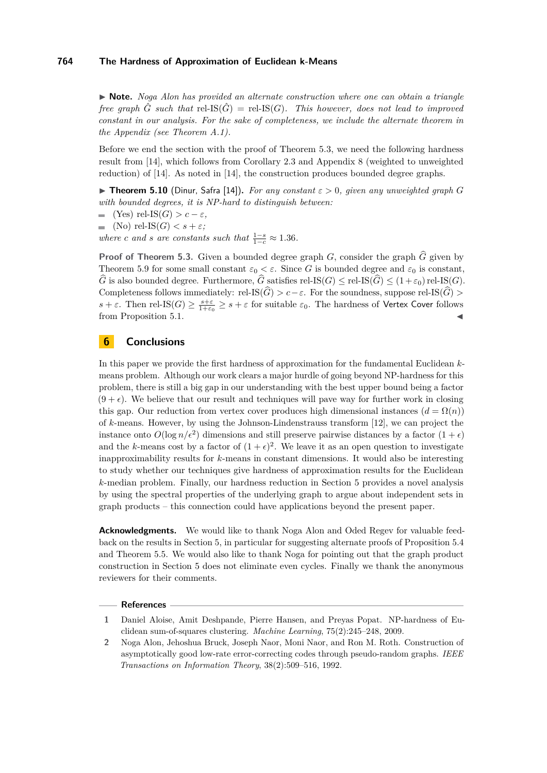▶ **Note.** *Noga Alon has provided an alternate construction where one can obtain a triangle free graph*  $\hat{G}$  *such that* rel-IS( $\hat{G}$ ) = rel-IS( $G$ ). This however, does not lead to improved *constant in our analysis. For the sake of completeness, we include the alternate theorem in the Appendix (see Theorem [A.1\)](#page-12-15).*

Before we end the section with the proof of Theorem [5.3,](#page-7-2) we need the following hardness result from [\[14\]](#page-11-15), which follows from Corollary 2.3 and Appendix 8 (weighted to unweighted reduction) of [\[14\]](#page-11-15). As noted in [\[14\]](#page-11-15), the construction produces bounded degree graphs.

 $\triangleright$  **Theorem 5.10** (Dinur, Safra [\[14\]](#page-11-15)). *For any constant*  $\varepsilon > 0$ , given any unweighted graph G *with bounded degrees, it is NP-hard to distinguish between:*

 $\blacksquare$  (Yes) rel-IS(*G*) > *c* − *ε,* 

$$
\quad \quad \text{(No) rel-IS}(G) < s + \varepsilon;
$$

*where c* and *s* are constants such that  $\frac{1-s}{1-c} \approx 1.36$ .

**Proof of Theorem [5.3.](#page-7-2)** Given a bounded degree graph  $G$ , consider the graph  $\widehat{G}$  given by Theorem [5.9](#page-9-2) for some small constant  $\varepsilon_0 < \varepsilon$ . Since *G* is bounded degree and  $\varepsilon_0$  is constant,  $\widehat{G}$  is also bounded degree. Furthermore,  $\widehat{G}$  satisfies rel-IS( $G$ )  $\leq$  rel-IS( $\widehat{G}$ ) $\leq$  (1+ $\varepsilon$ <sub>0</sub>) rel-IS( $G$ ). Completeness follows immediately: rel-IS( $\widehat{G}$ ) *> c*−*ε*. For the soundness, suppose rel-IS( $\widehat{G}$ ) >  $s + \varepsilon$ . Then rel-IS(*G*)  $\geq \frac{s + \varepsilon}{1+\varepsilon_0} \geq s + \varepsilon$  for suitable  $\varepsilon_0$ . The hardness of Vertex Cover follows from Proposition [5.1.](#page-7-3)

# **6 Conclusions**

In this paper we provide the first hardness of approximation for the fundamental Euclidean *k*means problem. Although our work clears a major hurdle of going beyond NP-hardness for this problem, there is still a big gap in our understanding with the best upper bound being a factor  $(9 + \epsilon)$ . We believe that our result and techniques will pave way for further work in closing this gap. Our reduction from vertex cover produces high dimensional instances  $(d = \Omega(n))$ of *k*-means. However, by using the Johnson-Lindenstrauss transform [\[12\]](#page-11-14), we can project the instance onto  $O(\log n/\epsilon^2)$  dimensions and still preserve pairwise distances by a factor  $(1+\epsilon)$ and the *k*-means cost by a factor of  $(1 + \epsilon)^2$ . We leave it as an open question to investigate inapproximability results for *k*-means in constant dimensions. It would also be interesting to study whether our techniques give hardness of approximation results for the Euclidean *k*-median problem. Finally, our hardness reduction in Section [5](#page-7-0) provides a novel analysis by using the spectral properties of the underlying graph to argue about independent sets in graph products – this connection could have applications beyond the present paper.

**Acknowledgments.** We would like to thank Noga Alon and Oded Regev for valuable feedback on the results in Section [5,](#page-7-0) in particular for suggesting alternate proofs of Proposition [5.4](#page-8-1) and Theorem [5.5.](#page-8-2) We would also like to thank Noga for pointing out that the graph product construction in Section [5](#page-7-0) does not eliminate even cycles. Finally we thank the anonymous reviewers for their comments.

### **References**

- <span id="page-10-0"></span>**1** Daniel Aloise, Amit Deshpande, Pierre Hansen, and Preyas Popat. NP-hardness of Euclidean sum-of-squares clustering. *Machine Learning*, 75(2):245–248, 2009.
- <span id="page-10-1"></span>**2** Noga Alon, Jehoshua Bruck, Joseph Naor, Moni Naor, and Ron M. Roth. Construction of asymptotically good low-rate error-correcting codes through pseudo-random graphs. *IEEE Transactions on Information Theory*, 38(2):509–516, 1992.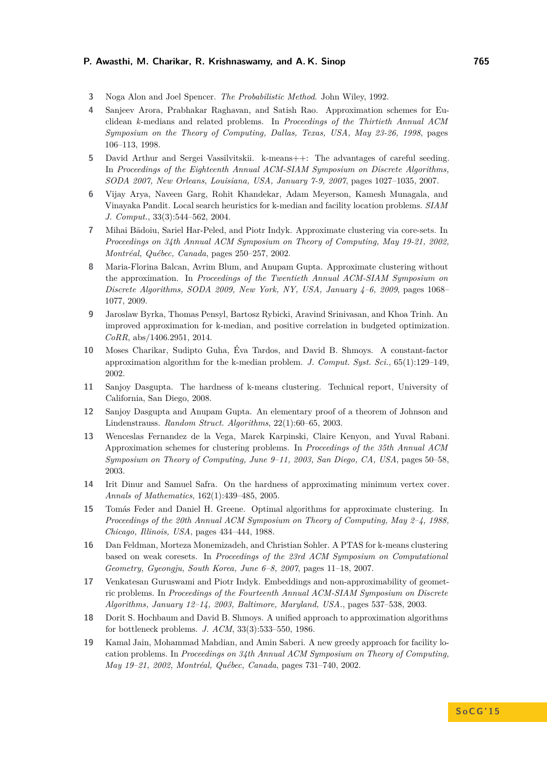- <span id="page-11-16"></span>**3** Noga Alon and Joel Spencer. *The Probabilistic Method*. John Wiley, 1992.
- <span id="page-11-1"></span>**4** Sanjeev Arora, Prabhakar Raghavan, and Satish Rao. Approximation schemes for Euclidean *k*-medians and related problems. In *Proceedings of the Thirtieth Annual ACM Symposium on the Theory of Computing, Dallas, Texas, USA, May 23-26, 1998*, pages 106–113, 1998.
- <span id="page-11-8"></span>**5** David Arthur and Sergei Vassilvitskii. k-means++: The advantages of careful seeding. In *Proceedings of the Eighteenth Annual ACM-SIAM Symposium on Discrete Algorithms, SODA 2007, New Orleans, Louisiana, USA, January 7-9, 2007*, pages 1027–1035, 2007.
- <span id="page-11-0"></span>**6** Vijay Arya, Naveen Garg, Rohit Khandekar, Adam Meyerson, Kamesh Munagala, and Vinayaka Pandit. Local search heuristics for k-median and facility location problems. *SIAM J. Comput.*, 33(3):544–562, 2004.
- <span id="page-11-9"></span>**7** Mihai Bādoiu, Sariel Har-Peled, and Piotr Indyk. Approximate clustering via core-sets. In *Proceedings on 34th Annual ACM Symposium on Theory of Computing, May 19-21, 2002, Montréal, Québec, Canada*, pages 250–257, 2002.
- <span id="page-11-5"></span>**8** Maria-Florina Balcan, Avrim Blum, and Anupam Gupta. Approximate clustering without the approximation. In *Proceedings of the Twentieth Annual ACM-SIAM Symposium on Discrete Algorithms, SODA 2009, New York, NY, USA, January 4–6, 2009*, pages 1068– 1077, 2009.
- <span id="page-11-10"></span>**9** Jaroslaw Byrka, Thomas Pensyl, Bartosz Rybicki, Aravind Srinivasan, and Khoa Trinh. An improved approximation for k-median, and positive correlation in budgeted optimization. *CoRR*, abs/1406.2951, 2014.
- <span id="page-11-2"></span>**10** Moses Charikar, Sudipto Guha, Éva Tardos, and David B. Shmoys. A constant-factor approximation algorithm for the k-median problem. *J. Comput. Syst. Sci.*, 65(1):129–149, 2002.
- <span id="page-11-7"></span>**11** Sanjoy Dasgupta. The hardness of k-means clustering. Technical report, University of California, San Diego, 2008.
- <span id="page-11-14"></span>**12** Sanjoy Dasgupta and Anupam Gupta. An elementary proof of a theorem of Johnson and Lindenstrauss. *Random Struct. Algorithms*, 22(1):60–65, 2003.
- <span id="page-11-3"></span>**13** Wenceslas Fernandez de la Vega, Marek Karpinski, Claire Kenyon, and Yuval Rabani. Approximation schemes for clustering problems. In *Proceedings of the 35th Annual ACM Symposium on Theory of Computing, June 9–11, 2003, San Diego, CA, USA*, pages 50–58, 2003.
- <span id="page-11-15"></span>**14** Irit Dinur and Samuel Safra. On the hardness of approximating minimum vertex cover. *Annals of Mathematics*, 162(1):439–485, 2005.
- <span id="page-11-13"></span>**15** Tomás Feder and Daniel H. Greene. Optimal algorithms for approximate clustering. In *Proceedings of the 20th Annual ACM Symposium on Theory of Computing, May 2–4, 1988, Chicago, Illinois, USA*, pages 434–444, 1988.
- <span id="page-11-6"></span>**16** Dan Feldman, Morteza Monemizadeh, and Christian Sohler. A PTAS for k-means clustering based on weak coresets. In *Proceedings of the 23rd ACM Symposium on Computational Geometry, Gyeongju, South Korea, June 6–8, 2007*, pages 11–18, 2007.
- <span id="page-11-11"></span>**17** Venkatesan Guruswami and Piotr Indyk. Embeddings and non-approximability of geometric problems. In *Proceedings of the Fourteenth Annual ACM-SIAM Symposium on Discrete Algorithms, January 12–14, 2003, Baltimore, Maryland, USA.*, pages 537–538, 2003.
- <span id="page-11-12"></span>**18** Dorit S. Hochbaum and David B. Shmoys. A unified approach to approximation algorithms for bottleneck problems. *J. ACM*, 33(3):533–550, 1986.
- <span id="page-11-4"></span>**19** Kamal Jain, Mohammad Mahdian, and Amin Saberi. A new greedy approach for facility location problems. In *Proceedings on 34th Annual ACM Symposium on Theory of Computing, May 19–21, 2002, Montréal, Québec, Canada*, pages 731–740, 2002.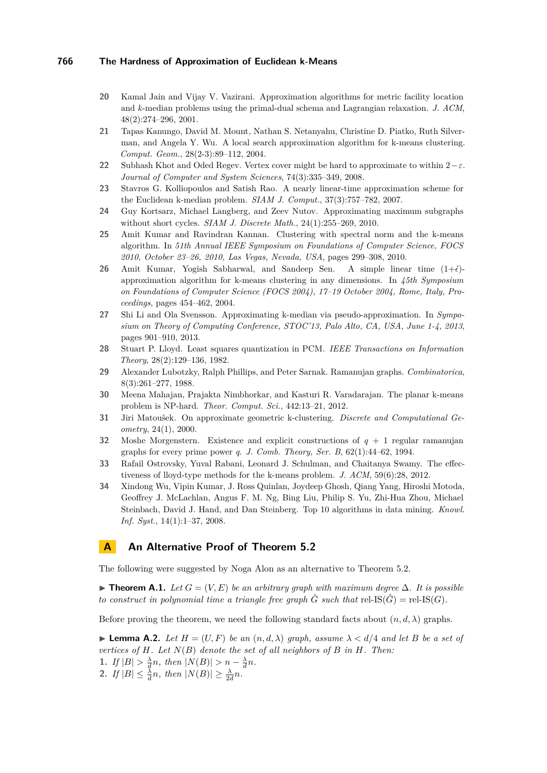- <span id="page-12-10"></span>**20** Kamal Jain and Vijay V. Vazirani. Approximation algorithms for metric facility location and *k*-median problems using the primal-dual schema and Lagrangian relaxation. *J. ACM*, 48(2):274–296, 2001.
- <span id="page-12-0"></span>**21** Tapas Kanungo, David M. Mount, Nathan S. Netanyahu, Christine D. Piatko, Ruth Silverman, and Angela Y. Wu. A local search approximation algorithm for k-means clustering. *Comput. Geom.*, 28(2-3):89–112, 2004.
- <span id="page-12-7"></span>**22** Subhash Khot and Oded Regev. Vertex cover might be hard to approximate to within  $2-\varepsilon$ . *Journal of Computer and System Sciences*, 74(3):335–349, 2008.
- <span id="page-12-12"></span>**23** Stavros G. Kolliopoulos and Satish Rao. A nearly linear-time approximation scheme for the Euclidean k-median problem. *SIAM J. Comput.*, 37(3):757–782, 2007.
- <span id="page-12-6"></span>**24** Guy Kortsarz, Michael Langberg, and Zeev Nutov. Approximating maximum subgraphs without short cycles. *SIAM J. Discrete Math.*, 24(1):255–269, 2010.
- <span id="page-12-5"></span>**25** Amit Kumar and Ravindran Kannan. Clustering with spectral norm and the k-means algorithm. In *51th Annual IEEE Symposium on Foundations of Computer Science, FOCS 2010, October 23–26, 2010, Las Vegas, Nevada, USA*, pages 299–308, 2010.
- <span id="page-12-1"></span>**26** Amit Kumar, Yogish Sabharwal, and Sandeep Sen. A simple linear time  $(1+\epsilon)$ approximation algorithm for k-means clustering in any dimensions. In *45th Symposium on Foundations of Computer Science (FOCS 2004), 17–19 October 2004, Rome, Italy, Proceedings*, pages 454–462, 2004.
- <span id="page-12-11"></span>**27** Shi Li and Ola Svensson. Approximating k-median via pseudo-approximation. In *Symposium on Theory of Computing Conference, STOC'13, Palo Alto, CA, USA, June 1-4, 2013*, pages 901–910, 2013.
- <span id="page-12-3"></span>**28** Stuart P. Lloyd. Least squares quantization in PCM. *IEEE Transactions on Information Theory*, 28(2):129–136, 1982.
- <span id="page-12-13"></span>**29** Alexander Lubotzky, Ralph Phillips, and Peter Sarnak. Ramanujan graphs. *Combinatorica*, 8(3):261–277, 1988.
- <span id="page-12-9"></span>**30** Meena Mahajan, Prajakta Nimbhorkar, and Kasturi R. Varadarajan. The planar k-means problem is NP-hard. *Theor. Comput. Sci.*, 442:13–21, 2012.
- <span id="page-12-8"></span>**31** Jiri Matoušek. On approximate geometric k-clustering. *Discrete and Computational Geometry*, 24(1), 2000.
- <span id="page-12-14"></span>**32** Moshe Morgenstern. Existence and explicit constructions of *q* + 1 regular ramanujan graphs for every prime power *q*. *J. Comb. Theory, Ser. B*, 62(1):44–62, 1994.
- <span id="page-12-2"></span>**33** Rafail Ostrovsky, Yuval Rabani, Leonard J. Schulman, and Chaitanya Swamy. The effectiveness of lloyd-type methods for the k-means problem. *J. ACM*, 59(6):28, 2012.
- <span id="page-12-4"></span>**34** Xindong Wu, Vipin Kumar, J. Ross Quinlan, Joydeep Ghosh, Qiang Yang, Hiroshi Motoda, Geoffrey J. McLachlan, Angus F. M. Ng, Bing Liu, Philip S. Yu, Zhi-Hua Zhou, Michael Steinbach, David J. Hand, and Dan Steinberg. Top 10 algorithms in data mining. *Knowl. Inf. Syst.*, 14(1):1–37, 2008.

# **A An Alternative Proof of Theorem [5.2](#page-7-1)**

The following were suggested by Noga Alon as an alternative to Theorem [5.2.](#page-7-1)

<span id="page-12-15"></span>**► Theorem A.1.** Let  $G = (V, E)$  be an arbitrary graph with maximum degree  $\Delta$ . It is possible *to construct in polynomial time a triangle free graph*  $\hat{G}$  *such that* rel-IS( $\hat{G}$ ) = rel-IS( $G$ ).

Before proving the theorem, we need the following standard facts about  $(n, d, \lambda)$  graphs.

<span id="page-12-18"></span><span id="page-12-17"></span><span id="page-12-16"></span>**Lemma A.2.** *Let*  $H = (U, F)$  *be an*  $(n, d, \lambda)$  *graph, assume*  $\lambda < d/4$  *and let B be a set of vertices of H. Let N*(*B*) *denote the set of all neighbors of B in H. Then:* **1.** *If*  $|B| > \frac{\lambda}{d}n$ , then  $|N(B)| > n - \frac{\lambda}{d}n$ . 2. *If*  $|B| \leq \frac{\lambda}{d}n$ , then  $|N(B)| \geq \frac{\lambda}{2d}n$ .